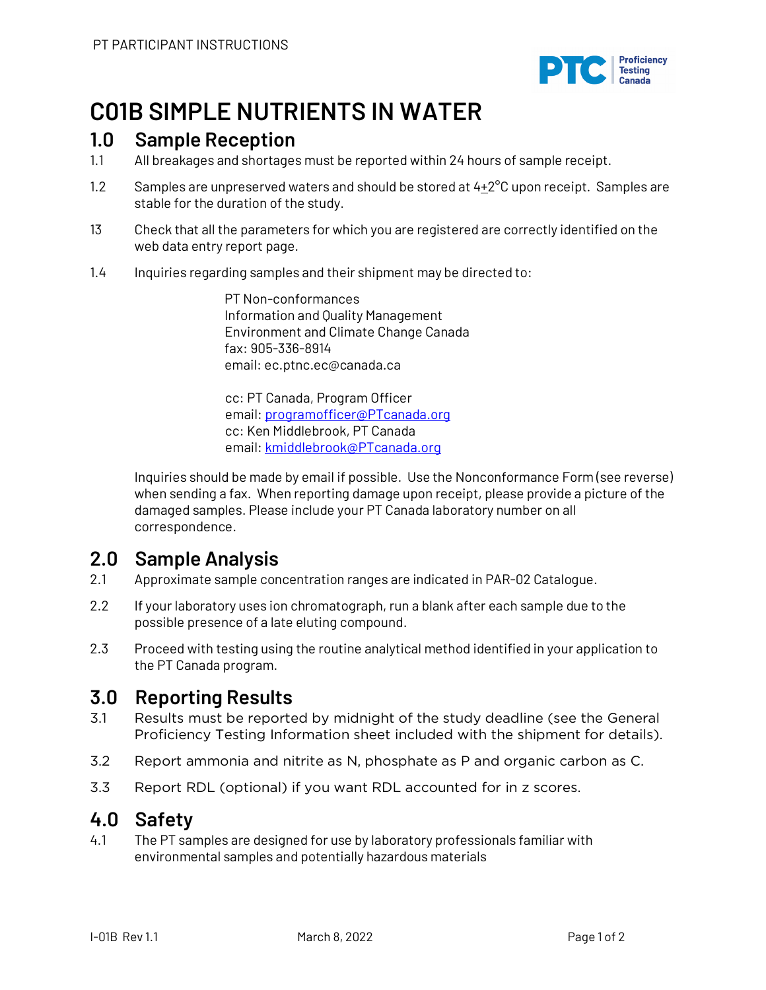

## **C01B SIMPLE NUTRIENTS IN WATER**

### **1.0 Sample Reception**

- 1.1 All breakages and shortages must be reported within 24 hours of sample receipt.
- 1.2 Samples are unpreserved waters and should be stored at  $4+2^{\circ}$ C upon receipt. Samples are stable for the duration of the study.
- 13 Check that all the parameters for which you are registered are correctly identified on the web data entry report page.
- 1.4 Inquiries regarding samples and their shipment may be directed to:

PT Non-conformances Information and Quality Management Environment and Climate Change Canada fax: 905-336-8914 email: ec.ptnc.ec@canada.ca

cc: PT Canada, Program Officer email: programofficer@PTcanada.org cc: Ken Middlebrook, PT Canada email: kmiddlebrook@PTcanada.org

Inquiries should be made by email if possible. Use the Nonconformance Form (see reverse) when sending a fax. When reporting damage upon receipt, please provide a picture of the damaged samples. Please include your PT Canada laboratory number on all correspondence.

## **2.0 Sample Analysis**

- 2.1 Approximate sample concentration ranges are indicated in PAR-02 Catalogue.
- 2.2 If your laboratory uses ion chromatograph, run a blank after each sample due to the possible presence of a late eluting compound.
- 2.3 Proceed with testing using the routine analytical method identified in your application to the PT Canada program.

## **3.0 Reporting Results**

- 3.1 Results must be reported by midnight of the study deadline (see the General Proficiency Testing Information sheet included with the shipment for details).
- 3.2 Report ammonia and nitrite as N, phosphate as P and organic carbon as C.
- 3.3 Report RDL (optional) if you want RDL accounted for in z scores.

### **4.0 Safety**

4.1 The PT samples are designed for use by laboratory professionals familiar with environmental samples and potentially hazardous materials